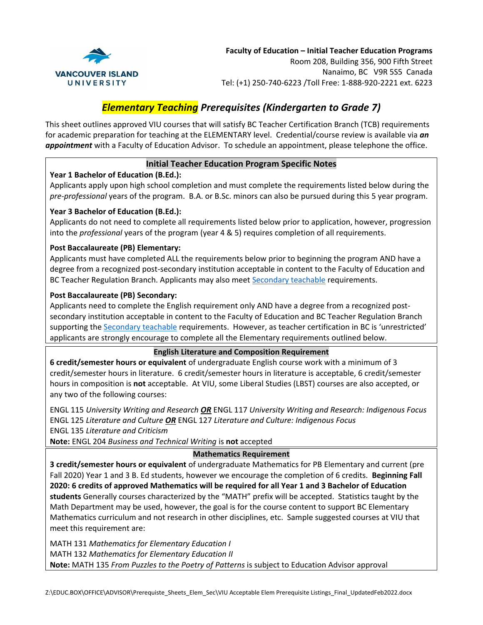

# *Elementary Teaching Prerequisites (Kindergarten to Grade 7)*

This sheet outlines approved VIU courses that will satisfy BC Teacher Certification Branch (TCB) requirements for academic preparation for teaching at the ELEMENTARY level. Credential/course review is available via *an appointment* with a Faculty of Education Advisor. To schedule an appointment, please telephone the office.

# **Initial Teacher Education Program Specific Notes**

## **Year 1 Bachelor of Education (B.Ed.):**

Applicants apply upon high school completion and must complete the requirements listed below during the *pre-professional* years of the program. B.A. or B.Sc. minors can also be pursued during this 5 year program.

## **Year 3 Bachelor of Education (B.Ed.):**

Applicants do not need to complete all requirements listed below prior to application, however, progression into the *professional* years of the program (year 4 & 5) requires completion of all requirements.

# **Post Baccalaureate (PB) Elementary:**

Applicants must have completed ALL the requirements below prior to beginning the program AND have a degree from a recognized post-secondary institution acceptable in content to the Faculty of Education and BC Teacher Regulation Branch. Applicants may also meet [Secondary teachable](https://www2.viu.ca/forms/VIU-PB-Secondary-PrerequisitesAndTeachables.pdf) requirements.

## **Post Baccalaureate (PB) Secondary:**

Applicants need to complete the English requirement only AND have a degree from a recognized postsecondary institution acceptable in content to the Faculty of Education and BC Teacher Regulation Branch supporting th[e Secondary teachable](https://www2.viu.ca/forms/VIU-PB-Secondary-PrerequisitesAndTeachables.pdf) requirements. However, as teacher certification in BC is 'unrestricted' applicants are strongly encourage to complete all the Elementary requirements outlined below.

## **English Literature and Composition Requirement**

**6 credit/semester hours or equivalent** of undergraduate English course work with a minimum of 3 credit/semester hours in literature. 6 credit/semester hours in literature is acceptable, 6 credit/semester hours in composition is **not** acceptable. At VIU, some Liberal Studies (LBST) courses are also accepted, or any two of the following courses:

ENGL 115 *University Writing and Research OR* ENGL 117 *University Writing and Research: Indigenous Focus* ENGL 125 *Literature and Culture OR* ENGL 127 *Literature and Culture: Indigenous Focus* ENGL 135 *Literature and Criticism*

**Note:** ENGL 204 *Business and Technical Writing* is **not** accepted

## **Mathematics Requirement**

**3 credit/semester hours or equivalent** of undergraduate Mathematics for PB Elementary and current (pre Fall 2020) Year 1 and 3 B. Ed students, however we encourage the completion of 6 credits. **Beginning Fall 2020: 6 credits of approved Mathematics will be required for all Year 1 and 3 Bachelor of Education students** Generally courses characterized by the "MATH" prefix will be accepted. Statistics taught by the Math Department may be used, however, the goal is for the course content to support BC Elementary Mathematics curriculum and not research in other disciplines, etc. Sample suggested courses at VIU that meet this requirement are:

MATH 131 *Mathematics for Elementary Education I* MATH 132 *Mathematics for Elementary Education II* **Note:** MATH 135 *From Puzzles to the Poetry of Patterns* is subject to Education Advisor approval